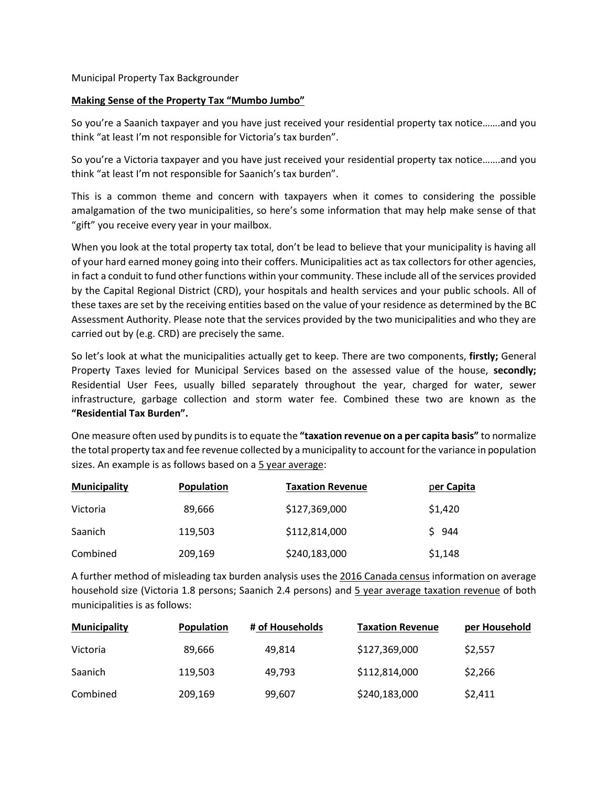## Municipal Property Tax Backgrounder

## **Making Sense of the Property Tax "Mumbo Jumbo"**

So you're a Saanich taxpayer and you have just received your residential property tax notice…….and you think "at least I'm not responsible for Victoria's tax burden".

So you're a Victoria taxpayer and you have just received your residential property tax notice…….and you think "at least I'm not responsible for Saanich's tax burden".

This is a common theme and concern with taxpayers when it comes to considering the possible amalgamation of the two municipalities, so here's some information that may help make sense of that "gift" you receive every year in your mailbox.

When you look at the total property tax total, don't be lead to believe that your municipality is having all of your hard earned money going into their coffers. Municipalities act as tax collectors for other agencies, in fact a conduit to fund other functions within your community. These include all of the services provided by the Capital Regional District (CRD), your hospitals and health services and your public schools. All of these taxes are set by the receiving entities based on the value of your residence as determined by the BC Assessment Authority. Please note that the services provided by the two municipalities and who they are carried out by (e.g. CRD) are precisely the same.

So let's look at what the municipalities actually get to keep. There are two components, **firstly;** General Property Taxes levied for Municipal Services based on the assessed value of the house, **secondly;** Residential User Fees, usually billed separately throughout the year, charged for water, sewer infrastructure, garbage collection and storm water fee. Combined these two are known as the **"Residential Tax Burden".**

One measure often used by pundits is to equate the **"taxation revenue on a per capita basis"** to normalize the total property tax and fee revenue collected by a municipality to account for the variance in population sizes. An example is as follows based on a 5 year average:

| <b>Municipality</b> | Population | <b>Taxation Revenue</b> | per Capita |
|---------------------|------------|-------------------------|------------|
| Victoria            | 89,666     | \$127,369,000           | \$1,420    |
| <b>Saanich</b>      | 119,503    | \$112,814,000           | \$944      |
| Combined            | 209,169    | \$240,183,000           | \$1,148    |

A further method of misleading tax burden analysis uses the 2016 Canada census information on average household size (Victoria 1.8 persons; Saanich 2.4 persons) and 5 year average taxation revenue of both municipalities is as follows:

| <b>Municipality</b> | <b>Population</b> | # of Households | <b>Taxation Revenue</b> | per Household |
|---------------------|-------------------|-----------------|-------------------------|---------------|
| Victoria            | 89,666            | 49.814          | \$127,369,000           | \$2,557       |
| <b>Saanich</b>      | 119.503           | 49.793          | \$112,814,000           | \$2,266       |
| Combined            | 209,169           | 99,607          | \$240,183,000           | \$2,411       |